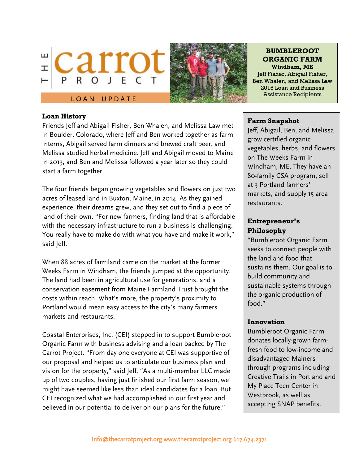



#### **BUMBLEROOT ORGANIC FARM Windham, ME**

Jeff Fisher, Abigail Fisher, Ben Whalen, and Melissa Law 2016 Loan and Business Assistance Recipients

# LOAN UPDATE

### **Loan History**

Friends Jeff and Abigail Fisher, Ben Whalen, and Melissa Law met in Boulder, Colorado, where Jeff and Ben worked together as farm interns, Abigail served farm dinners and brewed craft beer, and Melissa studied herbal medicine. Jeff and Abigail moved to Maine in 2013, and Ben and Melissa followed a year later so they could start a farm together.

The four friends began growing vegetables and flowers on just two acres of leased land in Buxton, Maine, in 2014. As they gained experience, their dreams grew, and they set out to find a piece of land of their own. "For new farmers, finding land that is affordable with the necessary infrastructure to run a business is challenging. You really have to make do with what you have and make it work," said Jeff.

When 88 acres of farmland came on the market at the former Weeks Farm in Windham, the friends jumped at the opportunity. The land had been in agricultural use for generations, and a conservation easement from Maine Farmland Trust brought the costs within reach. What's more, the property's proximity to Portland would mean easy access to the city's many farmers markets and restaurants.

Coastal Enterprises, Inc. (CEI) stepped in to support Bumbleroot Organic Farm with business advising and a loan backed by The Carrot Project. "From day one everyone at CEI was supportive of our proposal and helped us to articulate our business plan and vision for the property," said Jeff. "As a multi-member LLC made up of two couples, having just finished our first farm season, we might have seemed like less than ideal candidates for a loan. But CEI recognized what we had accomplished in our first year and believed in our potential to deliver on our plans for the future."

### **Farm Snapshot**

Jeff, Abigail, Ben, and Melissa grow certified organic vegetables, herbs, and flowers on The Weeks Farm in Windham, ME. They have an 80-family CSA program, sell at 3 Portland farmers' markets, and supply 15 area restaurants.

# **Entrepreneur's Philosophy**

"Bumbleroot Organic Farm seeks to connect people with the land and food that sustains them. Our goal is to build community and sustainable systems through the organic production of food."

### **Innovation**

Bumbleroot Organic Farm donates locally-grown farmfresh food to low-income and disadvantaged Mainers through programs including Creative Trails in Portland and My Place Teen Center in Westbrook, as well as accepting SNAP benefits.